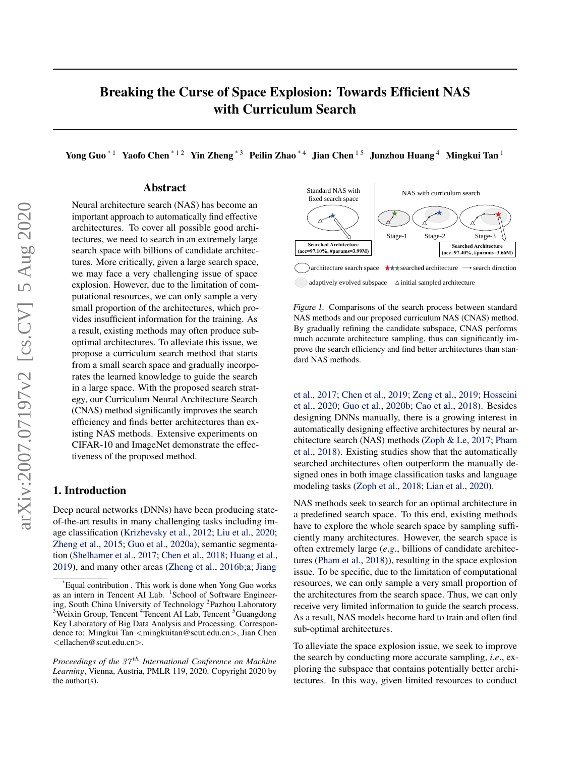# <span id="page-0-0"></span>Breaking the Curse of Space Explosion: Towards Efficient NAS with Curriculum Search

Yong Guo<sup>\*1</sup> Yaofo Chen<sup>\*12</sup> Yin Zheng<sup>\*3</sup> Peilin Zhao<sup>\*4</sup> Jian Chen<sup>15</sup> Junzhou Huang<sup>4</sup> Mingkui Tan<sup>1</sup>

### Abstract

Neural architecture search (NAS) has become an important approach to automatically find effective architectures. To cover all possible good architectures, we need to search in an extremely large search space with billions of candidate architectures. More critically, given a large search space, we may face a very challenging issue of space explosion. However, due to the limitation of computational resources, we can only sample a very small proportion of the architectures, which provides insufficient information for the training. As a result, existing methods may often produce suboptimal architectures. To alleviate this issue, we propose a curriculum search method that starts from a small search space and gradually incorporates the learned knowledge to guide the search in a large space. With the proposed search strategy, our Curriculum Neural Architecture Search (CNAS) method significantly improves the search efficiency and finds better architectures than existing NAS methods. Extensive experiments on CIFAR-10 and ImageNet demonstrate the effectiveness of the proposed method.

# 1. Introduction

Deep neural networks (DNNs) have been producing stateof-the-art results in many challenging tasks including image classification [\(Krizhevsky et al.,](#page-8-0) [2012;](#page-8-0) [Liu et al.,](#page-9-0) [2020;](#page-9-0) [Zheng et al.,](#page-9-0) [2015;](#page-9-0) [Guo et al.,](#page-8-0) [2020a\)](#page-8-0), semantic segmentation [\(Shelhamer et al.,](#page-9-0) [2017;](#page-9-0) [Chen et al.,](#page-8-0) [2018;](#page-8-0) [Huang et al.,](#page-8-0) [2019\)](#page-8-0), and many other areas [\(Zheng et al.,](#page-9-0) [2016b;a;](#page-9-0) [Jiang](#page-8-0)



Figure 1. Comparisons of the search process between standard NAS methods and our proposed curriculum NAS (CNAS) method. By gradually refining the candidate subspace, CNAS performs much accurate architecture sampling, thus can significantly improve the search efficiency and find better architectures than standard NAS methods.

[et al.,](#page-8-0) [2017;](#page-8-0) [Chen et al.,](#page-8-0) [2019;](#page-8-0) [Zeng et al.,](#page-9-0) [2019;](#page-9-0) [Hosseini](#page-8-0) [et al.,](#page-8-0) [2020;](#page-8-0) [Guo et al.,](#page-8-0) [2020b;](#page-8-0) [Cao et al.,](#page-8-0) [2018\)](#page-8-0). Besides designing DNNs manually, there is a growing interest in automatically designing effective architectures by neural architecture search (NAS) methods [\(Zoph & Le,](#page-9-0) [2017;](#page-9-0) [Pham](#page-9-0) [et al.,](#page-9-0) [2018\)](#page-9-0). Existing studies show that the automatically searched architectures often outperform the manually designed ones in both image classification tasks and language modeling tasks [\(Zoph et al.,](#page-9-0) [2018;](#page-9-0) [Lian et al.,](#page-9-0) [2020\)](#page-9-0).

NAS methods seek to search for an optimal architecture in a predefined search space. To this end, existing methods have to explore the whole search space by sampling sufficiently many architectures. However, the search space is often extremely large (*e*.*g*., billions of candidate architectures [\(Pham et al.,](#page-9-0) [2018\)](#page-9-0)), resulting in the space explosion issue. To be specific, due to the limitation of computational resources, we can only sample a very small proportion of the architectures from the search space. Thus, we can only receive very limited information to guide the search process. As a result, NAS models become hard to train and often find sub-optimal architectures.

To alleviate the space explosion issue, we seek to improve the search by conducting more accurate sampling, *i*.*e*., exploring the subspace that contains potentially better architectures. In this way, given limited resources to conduct

<sup>\*</sup>[Equal contribution . This work is done when Yong Guo works](#page-8-0) [as an intern in Tencent AI Lab.](#page-8-0) <sup>1</sup> School of Software Engineer[ing, South China University of Technology](#page-8-0)<sup>2</sup> Pazhou Laboratory <sup>3</sup>Weixin Group, Tencent <sup>4</sup>[Tencent AI Lab, Tencent](#page-8-0) <sup>5</sup>Guangdong [Key Laboratory of Big Data Analysis and Processing. Correspon](#page-8-0)dence to: Mingkui Tan <[mingkuitan@scut.edu.cn](#page-8-0)>, Jian Chen <[ellachen@scut.edu.cn](#page-8-0)>.

*Proceedings of the 37<sup>th</sup> [International Conference on Machine](#page-8-0) Learning*[, Vienna, Austria, PMLR 119, 2020. Copyright 2020 by](#page-8-0) [the author\(s\).](#page-8-0)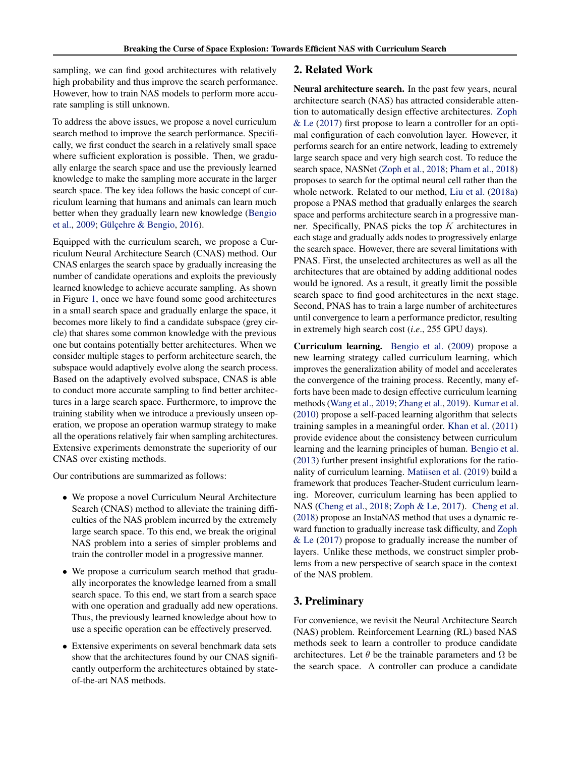sampling, we can find good architectures with relatively high probability and thus improve the search performance. However, how to train NAS models to perform more accurate sampling is still unknown.

To address the above issues, we propose a novel curriculum search method to improve the search performance. Specifically, we first conduct the search in a relatively small space where sufficient exploration is possible. Then, we gradually enlarge the search space and use the previously learned knowledge to make the sampling more accurate in the larger search space. The key idea follows the basic concept of curriculum learning that humans and animals can learn much better when they gradually learn new knowledge [\(Bengio](#page-8-0) [et al.,](#page-8-0) [2009;](#page-8-0) Gülçehre & Bengio, [2016\)](#page-8-0).

Equipped with the curriculum search, we propose a Curriculum Neural Architecture Search (CNAS) method. Our CNAS enlarges the search space by gradually increasing the number of candidate operations and exploits the previously learned knowledge to achieve accurate sampling. As shown in Figure [1,](#page-0-0) once we have found some good architectures in a small search space and gradually enlarge the space, it becomes more likely to find a candidate subspace (grey circle) that shares some common knowledge with the previous one but contains potentially better architectures. When we consider multiple stages to perform architecture search, the subspace would adaptively evolve along the search process. Based on the adaptively evolved subspace, CNAS is able to conduct more accurate sampling to find better architectures in a large search space. Furthermore, to improve the training stability when we introduce a previously unseen operation, we propose an operation warmup strategy to make all the operations relatively fair when sampling architectures. Extensive experiments demonstrate the superiority of our CNAS over existing methods.

Our contributions are summarized as follows:

- We propose a novel Curriculum Neural Architecture Search (CNAS) method to alleviate the training difficulties of the NAS problem incurred by the extremely large search space. To this end, we break the original NAS problem into a series of simpler problems and train the controller model in a progressive manner.
- We propose a curriculum search method that gradually incorporates the knowledge learned from a small search space. To this end, we start from a search space with one operation and gradually add new operations. Thus, the previously learned knowledge about how to use a specific operation can be effectively preserved.
- Extensive experiments on several benchmark data sets show that the architectures found by our CNAS significantly outperform the architectures obtained by stateof-the-art NAS methods.

### 2. Related Work

Neural architecture search. In the past few years, neural architecture search (NAS) has attracted considerable attention to automatically design effective architectures. [Zoph](#page-9-0) [& Le](#page-9-0) [\(2017\)](#page-9-0) first propose to learn a controller for an optimal configuration of each convolution layer. However, it performs search for an entire network, leading to extremely large search space and very high search cost. To reduce the search space, NASNet [\(Zoph et al.,](#page-9-0) [2018;](#page-9-0) [Pham et al.,](#page-9-0) [2018\)](#page-9-0) proposes to search for the optimal neural cell rather than the whole network. Related to our method, [Liu et al.](#page-9-0) [\(2018a\)](#page-9-0) propose a PNAS method that gradually enlarges the search space and performs architecture search in a progressive manner. Specifically, PNAS picks the top K architectures in each stage and gradually adds nodes to progressively enlarge the search space. However, there are several limitations with PNAS. First, the unselected architectures as well as all the architectures that are obtained by adding additional nodes would be ignored. As a result, it greatly limit the possible search space to find good architectures in the next stage. Second, PNAS has to train a large number of architectures until convergence to learn a performance predictor, resulting in extremely high search cost (*i*.*e*., 255 GPU days).

Curriculum learning. [Bengio et al.](#page-8-0) [\(2009\)](#page-8-0) propose a new learning strategy called curriculum learning, which improves the generalization ability of model and accelerates the convergence of the training process. Recently, many efforts have been made to design effective curriculum learning methods [\(Wang et al.,](#page-9-0) [2019;](#page-9-0) [Zhang et al.,](#page-9-0) [2019\)](#page-9-0). [Kumar et al.](#page-9-0) [\(2010\)](#page-9-0) propose a self-paced learning algorithm that selects training samples in a meaningful order. [Khan et al.](#page-8-0) [\(2011\)](#page-8-0) provide evidence about the consistency between curriculum learning and the learning principles of human. [Bengio et al.](#page-8-0) [\(2013\)](#page-8-0) further present insightful explorations for the rationality of curriculum learning. [Matiisen et al.](#page-9-0) [\(2019\)](#page-9-0) build a framework that produces Teacher-Student curriculum learning. Moreover, curriculum learning has been applied to NAS [\(Cheng et al.,](#page-8-0) [2018;](#page-8-0) [Zoph & Le,](#page-9-0) [2017\)](#page-9-0). [Cheng et al.](#page-8-0) [\(2018\)](#page-8-0) propose an InstaNAS method that uses a dynamic reward function to gradually increase task difficulty, and [Zoph](#page-9-0) [& Le](#page-9-0) [\(2017\)](#page-9-0) propose to gradually increase the number of layers. Unlike these methods, we construct simpler problems from a new perspective of search space in the context of the NAS problem.

# 3. Preliminary

For convenience, we revisit the Neural Architecture Search (NAS) problem. Reinforcement Learning (RL) based NAS methods seek to learn a controller to produce candidate architectures. Let  $\theta$  be the trainable parameters and  $\Omega$  be the search space. A controller can produce a candidate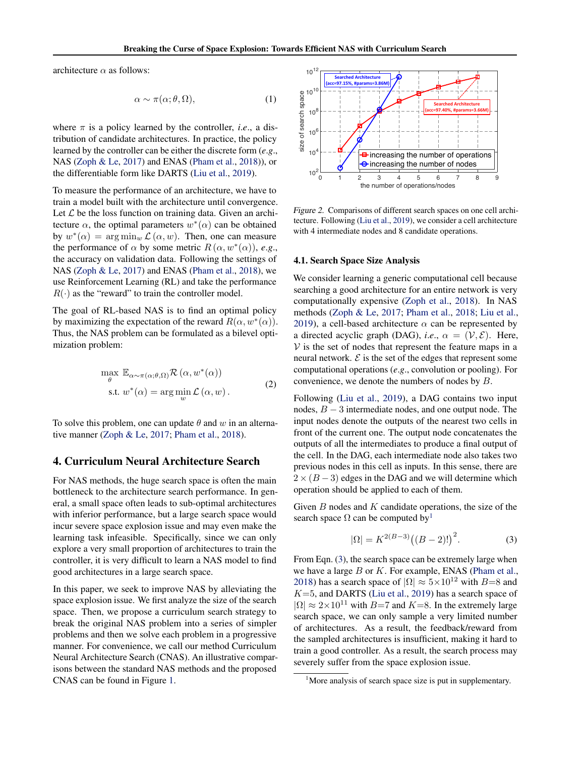<span id="page-2-0"></span>architecture  $\alpha$  as follows:

$$
\alpha \sim \pi(\alpha; \theta, \Omega),\tag{1}
$$

where  $\pi$  is a policy learned by the controller, *i.e.*, a distribution of candidate architectures. In practice, the policy learned by the controller can be either the discrete form (*e*.*g*., NAS [\(Zoph & Le,](#page-9-0) [2017\)](#page-9-0) and ENAS [\(Pham et al.,](#page-9-0) [2018\)](#page-9-0)), or the differentiable form like DARTS [\(Liu et al.,](#page-9-0) [2019\)](#page-9-0).

To measure the performance of an architecture, we have to train a model built with the architecture until convergence. Let  $\mathcal L$  be the loss function on training data. Given an architecture  $\alpha$ , the optimal parameters  $w^*(\alpha)$  can be obtained by  $w^*(\alpha) = \arg \min_w \mathcal{L}(\alpha, w)$ . Then, one can measure the performance of  $\alpha$  by some metric  $R(\alpha, w^*(\alpha))$ , *e.g.*, the accuracy on validation data. Following the settings of NAS [\(Zoph & Le,](#page-9-0) [2017\)](#page-9-0) and ENAS [\(Pham et al.,](#page-9-0) [2018\)](#page-9-0), we use Reinforcement Learning (RL) and take the performance  $R(\cdot)$  as the "reward" to train the controller model.

The goal of RL-based NAS is to find an optimal policy by maximizing the expectation of the reward  $R(\alpha, w^*(\alpha))$ . Thus, the NAS problem can be formulated as a bilevel optimization problem:

$$
\max_{\theta} \mathbb{E}_{\alpha \sim \pi(\alpha; \theta, \Omega)} \mathcal{R}(\alpha, w^*(\alpha))
$$
  
s.t.  $w^*(\alpha) = \arg \min_{w} \mathcal{L}(\alpha, w).$  (2)

To solve this problem, one can update  $\theta$  and w in an alternative manner [\(Zoph & Le,](#page-9-0) [2017;](#page-9-0) [Pham et al.,](#page-9-0) [2018\)](#page-9-0).

## 4. Curriculum Neural Architecture Search

For NAS methods, the huge search space is often the main bottleneck to the architecture search performance. In general, a small space often leads to sub-optimal architectures with inferior performance, but a large search space would incur severe space explosion issue and may even make the learning task infeasible. Specifically, since we can only explore a very small proportion of architectures to train the controller, it is very difficult to learn a NAS model to find good architectures in a large search space.

In this paper, we seek to improve NAS by alleviating the space explosion issue. We first analyze the size of the search space. Then, we propose a curriculum search strategy to break the original NAS problem into a series of simpler problems and then we solve each problem in a progressive manner. For convenience, we call our method Curriculum Neural Architecture Search (CNAS). An illustrative comparisons between the standard NAS methods and the proposed CNAS can be found in Figure [1.](#page-0-0)



Figure 2. Comparisons of different search spaces on one cell architecture. Following [\(Liu et al.,](#page-9-0) [2019\)](#page-9-0), we consider a cell architecture with 4 intermediate nodes and 8 candidate operations.

#### 4.1. Search Space Size Analysis

We consider learning a generic computational cell because searching a good architecture for an entire network is very computationally expensive [\(Zoph et al.,](#page-9-0) [2018\)](#page-9-0). In NAS methods [\(Zoph & Le,](#page-9-0) [2017;](#page-9-0) [Pham et al.,](#page-9-0) [2018;](#page-9-0) [Liu et al.,](#page-9-0) [2019\)](#page-9-0), a cell-based architecture  $\alpha$  can be represented by a directed acyclic graph (DAG), *i.e.*,  $\alpha = (\mathcal{V}, \mathcal{E})$ . Here,  $V$  is the set of nodes that represent the feature maps in a neural network.  $\mathcal E$  is the set of the edges that represent some computational operations (*e*.*g*., convolution or pooling). For convenience, we denote the numbers of nodes by B.

Following [\(Liu et al.,](#page-9-0) [2019\)](#page-9-0), a DAG contains two input nodes,  $B - 3$  intermediate nodes, and one output node. The input nodes denote the outputs of the nearest two cells in front of the current one. The output node concatenates the outputs of all the intermediates to produce a final output of the cell. In the DAG, each intermediate node also takes two previous nodes in this cell as inputs. In this sense, there are  $2 \times (B-3)$  edges in the DAG and we will determine which operation should be applied to each of them.

Given  $B$  nodes and  $K$  candidate operations, the size of the search space  $\Omega$  can be computed by<sup>1</sup>

$$
|\Omega| = K^{2(B-3)}((B-2)!)^2.
$$
 (3)

From Eqn. (3), the search space can be extremely large when we have a large  $B$  or  $K$ . For example, ENAS [\(Pham et al.,](#page-9-0) [2018\)](#page-9-0) has a search space of  $|\Omega| \approx 5 \times 10^{12}$  with  $B=8$  and  $K=5$ , and DARTS [\(Liu et al.,](#page-9-0) [2019\)](#page-9-0) has a search space of  $|\Omega| \approx 2 \times 10^{11}$  with B=7 and K=8. In the extremely large search space, we can only sample a very limited number of architectures. As a result, the feedback/reward from the sampled architectures is insufficient, making it hard to train a good controller. As a result, the search process may severely suffer from the space explosion issue.

<sup>&</sup>lt;sup>1</sup>More analysis of search space size is put in supplementary.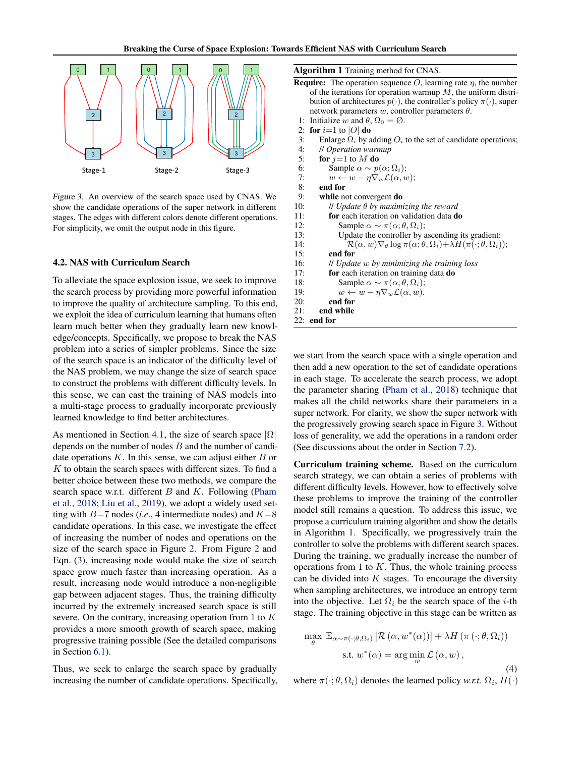

Figure 3. An overview of the search space used by CNAS. We show the candidate operations of the super network in different stages. The edges with different colors denote different operations. For simplicity, we omit the output node in this figure.

# 4.2. NAS with Curriculum Search

To alleviate the space explosion issue, we seek to improve the search process by providing more powerful information to improve the quality of architecture sampling. To this end, we exploit the idea of curriculum learning that humans often learn much better when they gradually learn new knowledge/concepts. Specifically, we propose to break the NAS problem into a series of simpler problems. Since the size of the search space is an indicator of the difficulty level of the NAS problem, we may change the size of search space to construct the problems with different difficulty levels. In this sense, we can cast the training of NAS models into a multi-stage process to gradually incorporate previously learned knowledge to find better architectures.

As mentioned in Section [4.1,](#page-2-0) the size of search space  $|\Omega|$ depends on the number of nodes  $B$  and the number of candidate operations  $K$ . In this sense, we can adjust either  $B$  or  $K$  to obtain the search spaces with different sizes. To find a better choice between these two methods, we compare the search space w.r.t. different  $B$  and  $K$ . Following [\(Pham](#page-9-0) [et al.,](#page-9-0) [2018;](#page-9-0) [Liu et al.,](#page-9-0) [2019\)](#page-9-0), we adopt a widely used setting with  $B=7$  nodes (*i.e.*, 4 intermediate nodes) and  $K=8$ candidate operations. In this case, we investigate the effect of increasing the number of nodes and operations on the size of the search space in Figure [2.](#page-2-0) From Figure [2](#page-2-0) and Eqn. [\(3\)](#page-2-0), increasing node would make the size of search space grow much faster than increasing operation. As a result, increasing node would introduce a non-negligible gap between adjacent stages. Thus, the training difficulty incurred by the extremely increased search space is still severe. On the contrary, increasing operation from 1 to K provides a more smooth growth of search space, making progressive training possible (See the detailed comparisons in Section [6.1\)](#page-5-0).

Thus, we seek to enlarge the search space by gradually increasing the number of candidate operations. Specifically,

| Algorithm 1 Training method for CNAS.                                                                                        |  |  |  |  |  |  |
|------------------------------------------------------------------------------------------------------------------------------|--|--|--|--|--|--|
| <b>Require:</b> The operation sequence O, learning rate $\eta$ , the number                                                  |  |  |  |  |  |  |
| of the iterations for operation warmup $M$ , the uniform distri-                                                             |  |  |  |  |  |  |
| bution of architectures $p(\cdot)$ , the controller's policy $\pi(\cdot)$ , super                                            |  |  |  |  |  |  |
| network parameters w, controller parameters $\theta$ .                                                                       |  |  |  |  |  |  |
| Initialize w and $\theta$ , $\Omega_0 = \emptyset$ .<br>1:                                                                   |  |  |  |  |  |  |
| for $i=1$ to $ O $ do<br>2:                                                                                                  |  |  |  |  |  |  |
| 3:<br>Enlarge $\Omega_i$ by adding $O_i$ to the set of candidate operations;                                                 |  |  |  |  |  |  |
| 4:<br>// Operation warmup                                                                                                    |  |  |  |  |  |  |
| 5:<br>for $j=1$ to M do                                                                                                      |  |  |  |  |  |  |
| 6:<br>Sample $\alpha \sim p(\alpha; \Omega_i)$ ;                                                                             |  |  |  |  |  |  |
| 7:<br>$w \leftarrow w - \eta \nabla_w \mathcal{L}(\alpha, w);$                                                               |  |  |  |  |  |  |
| 8:<br>end for                                                                                                                |  |  |  |  |  |  |
| 9:<br>while not convergent do                                                                                                |  |  |  |  |  |  |
| 10:<br>$\parallel$ Update $\theta$ by maximizing the reward                                                                  |  |  |  |  |  |  |
| <b>for</b> each iteration on validation data <b>do</b><br>11:                                                                |  |  |  |  |  |  |
| Sample $\alpha \sim \pi(\alpha; \theta, \Omega_i);$<br>12:                                                                   |  |  |  |  |  |  |
| 13:<br>Update the controller by ascending its gradient:                                                                      |  |  |  |  |  |  |
| $\mathcal{R}(\alpha, w)\nabla_{\theta} \log \pi(\alpha; \theta, \Omega_i) + \lambda H(\pi(\cdot; \theta, \Omega_i));$<br>14: |  |  |  |  |  |  |
| end for<br>15:                                                                                                               |  |  |  |  |  |  |
| 16:<br>$\mu$ Update $w$ by minimizing the training loss                                                                      |  |  |  |  |  |  |
| 17:<br>for each iteration on training data do                                                                                |  |  |  |  |  |  |
| Sample $\alpha \sim \pi(\alpha; \theta, \Omega_i);$<br>18:                                                                   |  |  |  |  |  |  |
| $w \leftarrow w - \eta \nabla_w \mathcal{L}(\alpha, w).$<br>19:                                                              |  |  |  |  |  |  |
| 20:<br>end for                                                                                                               |  |  |  |  |  |  |
| 21:<br>end while                                                                                                             |  |  |  |  |  |  |
| $22:$ end for                                                                                                                |  |  |  |  |  |  |

we start from the search space with a single operation and then add a new operation to the set of candidate operations in each stage. To accelerate the search process, we adopt the parameter sharing [\(Pham et al.,](#page-9-0) [2018\)](#page-9-0) technique that makes all the child networks share their parameters in a super network. For clarity, we show the super network with the progressively growing search space in Figure 3. Without loss of generality, we add the operations in a random order (See discussions about the order in Section [7.2\)](#page-7-0).

Curriculum training scheme. Based on the curriculum search strategy, we can obtain a series of problems with different difficulty levels. However, how to effectively solve these problems to improve the training of the controller model still remains a question. To address this issue, we propose a curriculum training algorithm and show the details in Algorithm 1. Specifically, we progressively train the controller to solve the problems with different search spaces. During the training, we gradually increase the number of operations from 1 to  $K$ . Thus, the whole training process can be divided into  $K$  stages. To encourage the diversity when sampling architectures, we introduce an entropy term into the objective. Let  $\Omega_i$  be the search space of the *i*-th stage. The training objective in this stage can be written as

$$
\max_{\theta} \mathbb{E}_{\alpha \sim \pi(\cdot; \theta, \Omega_i)} [\mathcal{R}(\alpha, w^*(\alpha))] + \lambda H(\pi(\cdot; \theta, \Omega_i))
$$
  
s.t.  $w^*(\alpha) = \arg \min_{w} \mathcal{L}(\alpha, w)$ , (4)

where  $\pi(\cdot; \theta, \Omega_i)$  denotes the learned policy *w.r.t.*  $\Omega_i$ ,  $H(\cdot)$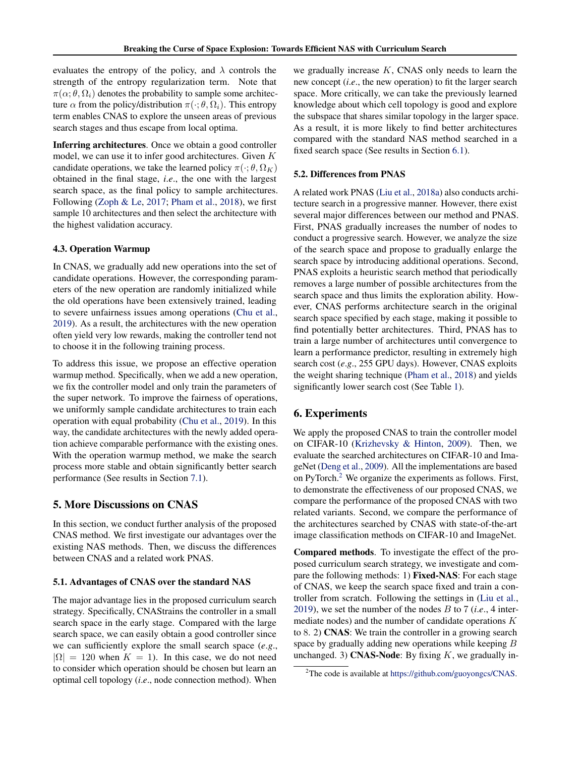evaluates the entropy of the policy, and  $\lambda$  controls the strength of the entropy regularization term. Note that  $\pi(\alpha; \theta, \Omega_i)$  denotes the probability to sample some architecture  $\alpha$  from the policy/distribution  $\pi(\cdot; \theta, \Omega_i)$ . This entropy term enables CNAS to explore the unseen areas of previous search stages and thus escape from local optima.

Inferring architectures. Once we obtain a good controller model, we can use it to infer good architectures. Given K candidate operations, we take the learned policy  $\pi(\cdot; \theta, \Omega_K)$ obtained in the final stage, *i*.*e*., the one with the largest search space, as the final policy to sample architectures. Following [\(Zoph & Le,](#page-9-0) [2017;](#page-9-0) [Pham et al.,](#page-9-0) [2018\)](#page-9-0), we first sample 10 architectures and then select the architecture with the highest validation accuracy.

#### 4.3. Operation Warmup

In CNAS, we gradually add new operations into the set of candidate operations. However, the corresponding parameters of the new operation are randomly initialized while the old operations have been extensively trained, leading to severe unfairness issues among operations [\(Chu et al.,](#page-8-0) [2019\)](#page-8-0). As a result, the architectures with the new operation often yield very low rewards, making the controller tend not to choose it in the following training process.

To address this issue, we propose an effective operation warmup method. Specifically, when we add a new operation, we fix the controller model and only train the parameters of the super network. To improve the fairness of operations, we uniformly sample candidate architectures to train each operation with equal probability [\(Chu et al.,](#page-8-0) [2019\)](#page-8-0). In this way, the candidate architectures with the newly added operation achieve comparable performance with the existing ones. With the operation warmup method, we make the search process more stable and obtain significantly better search performance (See results in Section [7.1\)](#page-7-0).

# 5. More Discussions on CNAS

In this section, we conduct further analysis of the proposed CNAS method. We first investigate our advantages over the existing NAS methods. Then, we discuss the differences between CNAS and a related work PNAS.

#### 5.1. Advantages of CNAS over the standard NAS

The major advantage lies in the proposed curriculum search strategy. Specifically, CNAStrains the controller in a small search space in the early stage. Compared with the large search space, we can easily obtain a good controller since we can sufficiently explore the small search space (*e*.*g*.,  $|\Omega| = 120$  when  $K = 1$ ). In this case, we do not need to consider which operation should be chosen but learn an optimal cell topology (*i*.*e*., node connection method). When

we gradually increase  $K$ , CNAS only needs to learn the new concept (*i*.*e*., the new operation) to fit the larger search space. More critically, we can take the previously learned knowledge about which cell topology is good and explore the subspace that shares similar topology in the larger space. As a result, it is more likely to find better architectures compared with the standard NAS method searched in a fixed search space (See results in Section [6.1\)](#page-5-0).

#### 5.2. Differences from PNAS

A related work PNAS [\(Liu et al.,](#page-9-0) [2018a\)](#page-9-0) also conducts architecture search in a progressive manner. However, there exist several major differences between our method and PNAS. First, PNAS gradually increases the number of nodes to conduct a progressive search. However, we analyze the size of the search space and propose to gradually enlarge the search space by introducing additional operations. Second, PNAS exploits a heuristic search method that periodically removes a large number of possible architectures from the search space and thus limits the exploration ability. However, CNAS performs architecture search in the original search space specified by each stage, making it possible to find potentially better architectures. Third, PNAS has to train a large number of architectures until convergence to learn a performance predictor, resulting in extremely high search cost (*e*.*g*., 255 GPU days). However, CNAS exploits the weight sharing technique [\(Pham et al.,](#page-9-0) [2018\)](#page-9-0) and yields significantly lower search cost (See Table [1\)](#page-6-0).

#### 6. Experiments

We apply the proposed CNAS to train the controller model on CIFAR-10 [\(Krizhevsky & Hinton,](#page-8-0) [2009\)](#page-8-0). Then, we evaluate the searched architectures on CIFAR-10 and ImageNet [\(Deng et al.,](#page-8-0) [2009\)](#page-8-0). All the implementations are based on PyTorch.<sup>2</sup> We organize the experiments as follows. First, to demonstrate the effectiveness of our proposed CNAS, we compare the performance of the proposed CNAS with two related variants. Second, we compare the performance of the architectures searched by CNAS with state-of-the-art image classification methods on CIFAR-10 and ImageNet.

Compared methods. To investigate the effect of the proposed curriculum search strategy, we investigate and compare the following methods: 1) Fixed-NAS: For each stage of CNAS, we keep the search space fixed and train a controller from scratch. Following the settings in [\(Liu et al.,](#page-9-0) [2019\)](#page-9-0), we set the number of the nodes B to 7 (*i*.*e*., 4 intermediate nodes) and the number of candidate operations K to 8. 2) CNAS: We train the controller in a growing search space by gradually adding new operations while keeping B unchanged. 3) **CNAS-Node**: By fixing  $K$ , we gradually in-

<sup>2</sup>The code is available at [https://github.com/guoyongcs/CNAS.](https://github.com/guoyongcs/CNAS)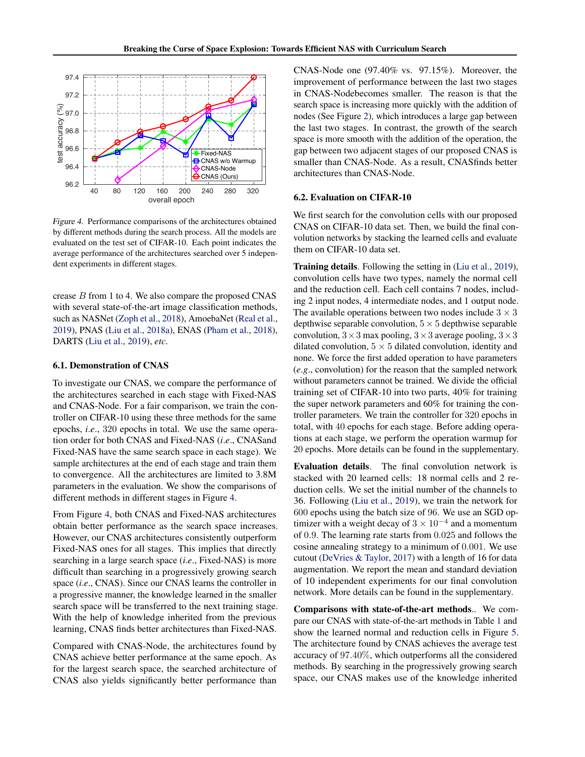<span id="page-5-0"></span>

Figure 4. Performance comparisons of the architectures obtained by different methods during the search process. All the models are evaluated on the test set of CIFAR-10. Each point indicates the average performance of the architectures searched over 5 independent experiments in different stages.

crease B from 1 to 4. We also compare the proposed CNAS with several state-of-the-art image classification methods, such as NASNet [\(Zoph et al.,](#page-9-0) [2018\)](#page-9-0), AmoebaNet [\(Real et al.,](#page-9-0) [2019\)](#page-9-0), PNAS [\(Liu et al.,](#page-9-0) [2018a\)](#page-9-0), ENAS [\(Pham et al.,](#page-9-0) [2018\)](#page-9-0), DARTS [\(Liu et al.,](#page-9-0) [2019\)](#page-9-0), *etc*.

#### 6.1. Demonstration of CNAS

To investigate our CNAS, we compare the performance of the architectures searched in each stage with Fixed-NAS and CNAS-Node. For a fair comparison, we train the controller on CIFAR-10 using these three methods for the same epochs, *i*.*e*., 320 epochs in total. We use the same operation order for both CNAS and Fixed-NAS (*i*.*e*., CNASand Fixed-NAS have the same search space in each stage). We sample architectures at the end of each stage and train them to convergence. All the architectures are limited to 3.8M parameters in the evaluation. We show the comparisons of different methods in different stages in Figure 4.

From Figure 4, both CNAS and Fixed-NAS architectures obtain better performance as the search space increases. However, our CNAS architectures consistently outperform Fixed-NAS ones for all stages. This implies that directly searching in a large search space (*i*.*e*., Fixed-NAS) is more difficult than searching in a progressively growing search space (*i*.*e*., CNAS). Since our CNAS learns the controller in a progressive manner, the knowledge learned in the smaller search space will be transferred to the next training stage. With the help of knowledge inherited from the previous learning, CNAS finds better architectures than Fixed-NAS.

Compared with CNAS-Node, the architectures found by CNAS achieve better performance at the same epoch. As for the largest search space, the searched architecture of CNAS also yields significantly better performance than

CNAS-Node one (97.40% vs. 97.15%). Moreover, the improvement of performance between the last two stages in CNAS-Nodebecomes smaller. The reason is that the search space is increasing more quickly with the addition of nodes (See Figure [2\)](#page-2-0), which introduces a large gap between the last two stages. In contrast, the growth of the search space is more smooth with the addition of the operation, the gap between two adjacent stages of our proposed CNAS is smaller than CNAS-Node. As a result, CNASfinds better architectures than CNAS-Node.

#### 6.2. Evaluation on CIFAR-10

We first search for the convolution cells with our proposed CNAS on CIFAR-10 data set. Then, we build the final convolution networks by stacking the learned cells and evaluate them on CIFAR-10 data set.

Training details. Following the setting in [\(Liu et al.,](#page-9-0) [2019\)](#page-9-0), convolution cells have two types, namely the normal cell and the reduction cell. Each cell contains 7 nodes, including 2 input nodes, 4 intermediate nodes, and 1 output node. The available operations between two nodes include  $3 \times 3$ depthwise separable convolution,  $5 \times 5$  depthwise separable convolution,  $3 \times 3$  max pooling,  $3 \times 3$  average pooling,  $3 \times 3$ dilated convolution,  $5 \times 5$  dilated convolution, identity and none. We force the first added operation to have parameters (*e*.*g*., convolution) for the reason that the sampled network without parameters cannot be trained. We divide the official training set of CIFAR-10 into two parts, 40% for training the super network parameters and 60% for training the controller parameters. We train the controller for 320 epochs in total, with 40 epochs for each stage. Before adding operations at each stage, we perform the operation warmup for 20 epochs. More details can be found in the supplementary.

Evaluation details. The final convolution network is stacked with 20 learned cells: 18 normal cells and 2 reduction cells. We set the initial number of the channels to 36. Following [\(Liu et al.,](#page-9-0) [2019\)](#page-9-0), we train the network for 600 epochs using the batch size of 96. We use an SGD optimizer with a weight decay of  $3 \times 10^{-4}$  and a momentum of 0.9. The learning rate starts from 0.025 and follows the cosine annealing strategy to a minimum of 0.001. We use cutout [\(DeVries & Taylor,](#page-8-0) [2017\)](#page-8-0) with a length of 16 for data augmentation. We report the mean and standard deviation of 10 independent experiments for our final convolution network. More details can be found in the supplementary.

Comparisons with state-of-the-art methods.. We compare our CNAS with state-of-the-art methods in Table [1](#page-6-0) and show the learned normal and reduction cells in Figure [5.](#page-6-0) The architecture found by CNAS achieves the average test accuracy of 97.40%, which outperforms all the considered methods. By searching in the progressively growing search space, our CNAS makes use of the knowledge inherited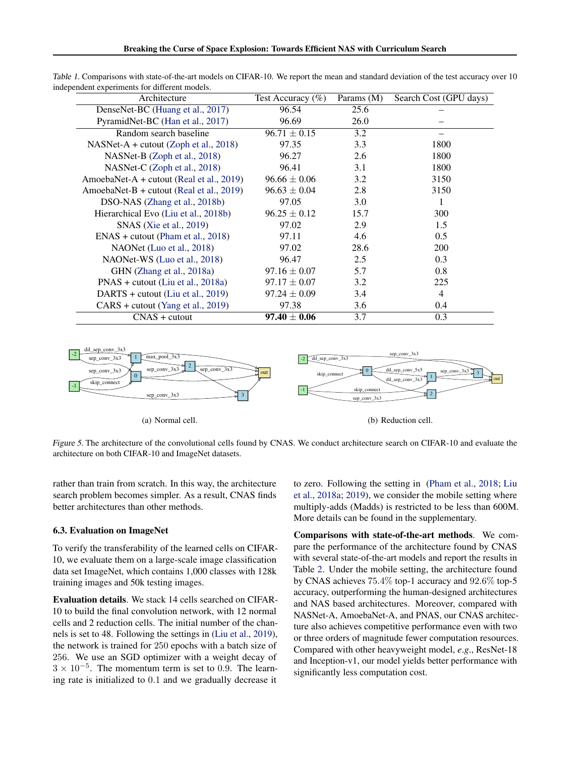| Architecture                             | Test Accuracy $(\%)$ | Params $(M)$ | Search Cost (GPU days) |  |
|------------------------------------------|----------------------|--------------|------------------------|--|
| DenseNet-BC (Huang et al., 2017)         | 96.54                | 25.6         |                        |  |
| PyramidNet-BC (Han et al., 2017)         | 96.69                | 26.0         |                        |  |
| Random search baseline                   | $96.71 \pm 0.15$     | 3.2          |                        |  |
| $NASNet-A + cutout (Zoph et al., 2018)$  | 97.35                | 3.3          | 1800                   |  |
| NASNet-B (Zoph et al., 2018)             | 96.27                | 2.6          | 1800                   |  |
| NASNet-C (Zoph et al., 2018)             | 96.41                | 3.1          | 1800                   |  |
| AmoebaNet-A + cutout (Real et al., 2019) | $96.66 \pm 0.06$     | 3.2          | 3150                   |  |
| AmoebaNet-B + cutout (Real et al., 2019) | $96.63 \pm 0.04$     | 2.8          | 3150                   |  |
| DSO-NAS (Zhang et al., 2018b)            | 97.05                | 3.0          | 1                      |  |
| Hierarchical Evo (Liu et al., 2018b)     | $96.25 \pm 0.12$     | 15.7         | 300                    |  |
| SNAS (Xie et al., 2019)                  | 97.02                | 2.9          | 1.5                    |  |
| $ENAS + cutout (Pham et al., 2018)$      | 97.11                | 4.6          | 0.5                    |  |
| NAONet (Luo et al., 2018)                | 97.02                | 28.6         | <b>200</b>             |  |
| NAONet-WS (Luo et al., 2018)             | 96.47                | 2.5          | 0.3                    |  |
| GHN (Zhang et al., 2018a)                | $97.16 \pm 0.07$     | 5.7          | 0.8                    |  |
| $PNAS + cutout$ (Liu et al., 2018a)      | $97.17 \pm 0.07$     | 3.2          | 225                    |  |
| DARTS + cutout (Liu et al., 2019)        | $97.24 \pm 0.09$     | 3.4          | 4                      |  |
| $CARS + cutout (Yang et al., 2019)$      | 97.38                | 3.6          | 0.4                    |  |
| $CNAS + cutout$                          | $97.40 \pm 0.06$     | 3.7          | 0.3                    |  |

<span id="page-6-0"></span>Table 1. Comparisons with state-of-the-art models on CIFAR-10. We report the mean and standard deviation of the test accuracy over 10 independent experiments for different models.



Figure 5. The architecture of the convolutional cells found by CNAS. We conduct architecture search on CIFAR-10 and evaluate the architecture on both CIFAR-10 and ImageNet datasets.

rather than train from scratch. In this way, the architecture search problem becomes simpler. As a result, CNAS finds better architectures than other methods.

#### 6.3. Evaluation on ImageNet

To verify the transferability of the learned cells on CIFAR-10, we evaluate them on a large-scale image classification data set ImageNet, which contains 1,000 classes with 128k training images and 50k testing images.

Evaluation details. We stack 14 cells searched on CIFAR-10 to build the final convolution network, with 12 normal cells and 2 reduction cells. The initial number of the channels is set to 48. Following the settings in [\(Liu et al.,](#page-9-0) [2019\)](#page-9-0), the network is trained for 250 epochs with a batch size of 256. We use an SGD optimizer with a weight decay of  $3 \times 10^{-5}$ . The momentum term is set to 0.9. The learning rate is initialized to 0.1 and we gradually decrease it to zero. Following the setting in [\(Pham et al.,](#page-9-0) [2018;](#page-9-0) [Liu](#page-9-0) [et al.,](#page-9-0) [2018a;](#page-9-0) [2019\)](#page-9-0), we consider the mobile setting where multiply-adds (Madds) is restricted to be less than 600M. More details can be found in the supplementary.

Comparisons with state-of-the-art methods. We compare the performance of the architecture found by CNAS with several state-of-the-art models and report the results in Table [2.](#page-7-0) Under the mobile setting, the architecture found by CNAS achieves 75.4% top-1 accuracy and 92.6% top-5 accuracy, outperforming the human-designed architectures and NAS based architectures. Moreover, compared with NASNet-A, AmoebaNet-A, and PNAS, our CNAS architecture also achieves competitive performance even with two or three orders of magnitude fewer computation resources. Compared with other heavyweight model, *e*.*g*., ResNet-18 and Inception-v1, our model yields better performance with significantly less computation cost.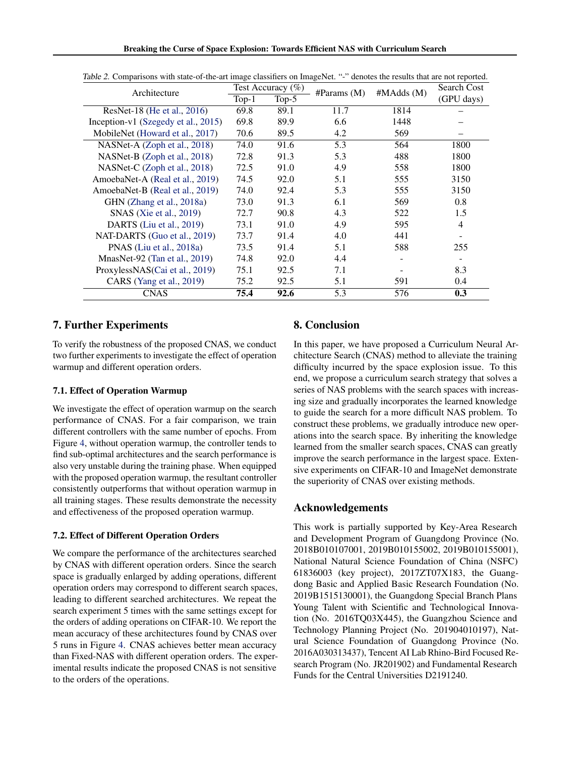| Architecture                        | $\ldots$<br>Test Accuracy $(\% )$ |          |                 |           | Search Cost    |
|-------------------------------------|-----------------------------------|----------|-----------------|-----------|----------------|
|                                     | $Top-1$                           | Top- $5$ | #Parameters (M) | #MAdds(M) | (GPU days)     |
| ResNet-18 (He et al., 2016)         | 69.8                              | 89.1     | 11.7            | 1814      |                |
| Inception-v1 (Szegedy et al., 2015) | 69.8                              | 89.9     | 6.6             | 1448      |                |
| MobileNet (Howard et al., 2017)     | 70.6                              | 89.5     | 4.2             | 569       |                |
| NASNet-A (Zoph et al., 2018)        | 74.0                              | 91.6     | 5.3             | 564       | 1800           |
| NASNet-B (Zoph et al., 2018)        | 72.8                              | 91.3     | 5.3             | 488       | 1800           |
| NASNet-C (Zoph et al., 2018)        | 72.5                              | 91.0     | 4.9             | 558       | 1800           |
| AmoebaNet-A (Real et al., 2019)     | 74.5                              | 92.0     | 5.1             | 555       | 3150           |
| AmoebaNet-B (Real et al., 2019)     | 74.0                              | 92.4     | 5.3             | 555       | 3150           |
| GHN (Zhang et al., 2018a)           | 73.0                              | 91.3     | 6.1             | 569       | 0.8            |
| SNAS (Xie et al., 2019)             | 72.7                              | 90.8     | 4.3             | 522       | 1.5            |
| DARTS (Liu et al., 2019)            | 73.1                              | 91.0     | 4.9             | 595       | $\overline{4}$ |
| NAT-DARTS (Guo et al., 2019)        | 73.7                              | 91.4     | 4.0             | 441       |                |
| PNAS (Liu et al., 2018a)            | 73.5                              | 91.4     | 5.1             | 588       | 255            |
| MnasNet-92 (Tan et al., $2019$ )    | 74.8                              | 92.0     | 4.4             |           |                |
| ProxylessNAS(Cai et al., 2019)      | 75.1                              | 92.5     | 7.1             |           | 8.3            |
| CARS (Yang et al., 2019)            | 75.2                              | 92.5     | 5.1             | 591       | 0.4            |
| <b>CNAS</b>                         | 75.4                              | 92.6     | 5.3             | 576       | 0.3            |

<span id="page-7-0"></span>Table 2. Comparisons with state-of-the-art image classifiers on ImageNet. "-" denotes the results that are not reported.

# 7. Further Experiments

To verify the robustness of the proposed CNAS, we conduct two further experiments to investigate the effect of operation warmup and different operation orders.

# 7.1. Effect of Operation Warmup

We investigate the effect of operation warmup on the search performance of CNAS. For a fair comparison, we train different controllers with the same number of epochs. From Figure [4,](#page-5-0) without operation warmup, the controller tends to find sub-optimal architectures and the search performance is also very unstable during the training phase. When equipped with the proposed operation warmup, the resultant controller consistently outperforms that without operation warmup in all training stages. These results demonstrate the necessity and effectiveness of the proposed operation warmup.

# 7.2. Effect of Different Operation Orders

We compare the performance of the architectures searched by CNAS with different operation orders. Since the search space is gradually enlarged by adding operations, different operation orders may correspond to different search spaces, leading to different searched architectures. We repeat the search experiment 5 times with the same settings except for the orders of adding operations on CIFAR-10. We report the mean accuracy of these architectures found by CNAS over 5 runs in Figure [4.](#page-5-0) CNAS achieves better mean accuracy than Fixed-NAS with different operation orders. The experimental results indicate the proposed CNAS is not sensitive to the orders of the operations.

# 8. Conclusion

In this paper, we have proposed a Curriculum Neural Architecture Search (CNAS) method to alleviate the training difficulty incurred by the space explosion issue. To this end, we propose a curriculum search strategy that solves a series of NAS problems with the search spaces with increasing size and gradually incorporates the learned knowledge to guide the search for a more difficult NAS problem. To construct these problems, we gradually introduce new operations into the search space. By inheriting the knowledge learned from the smaller search spaces, CNAS can greatly improve the search performance in the largest space. Extensive experiments on CIFAR-10 and ImageNet demonstrate the superiority of CNAS over existing methods.

# Acknowledgements

This work is partially supported by Key-Area Research and Development Program of Guangdong Province (No. 2018B010107001, 2019B010155002, 2019B010155001), National Natural Science Foundation of China (NSFC) 61836003 (key project), 2017ZT07X183, the Guangdong Basic and Applied Basic Research Foundation (No. 2019B1515130001), the Guangdong Special Branch Plans Young Talent with Scientific and Technological Innovation (No. 2016TQ03X445), the Guangzhou Science and Technology Planning Project (No. 201904010197), Natural Science Foundation of Guangdong Province (No. 2016A030313437), Tencent AI Lab Rhino-Bird Focused Research Program (No. JR201902) and Fundamental Research Funds for the Central Universities D2191240.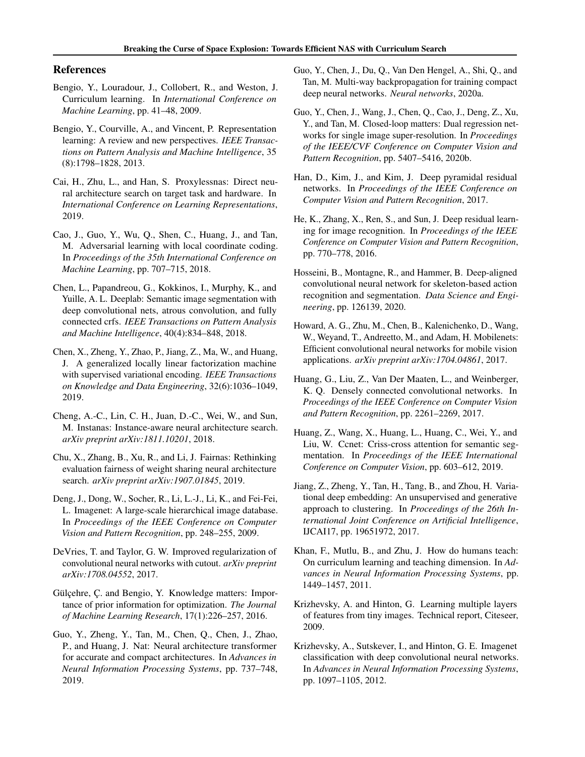# <span id="page-8-0"></span>References

- Bengio, Y., Louradour, J., Collobert, R., and Weston, J. Curriculum learning. In *International Conference on Machine Learning*, pp. 41–48, 2009.
- Bengio, Y., Courville, A., and Vincent, P. Representation learning: A review and new perspectives. *IEEE Transactions on Pattern Analysis and Machine Intelligence*, 35 (8):1798–1828, 2013.
- Cai, H., Zhu, L., and Han, S. Proxylessnas: Direct neural architecture search on target task and hardware. In *International Conference on Learning Representations*, 2019.
- Cao, J., Guo, Y., Wu, Q., Shen, C., Huang, J., and Tan, M. Adversarial learning with local coordinate coding. In *Proceedings of the 35th International Conference on Machine Learning*, pp. 707–715, 2018.
- Chen, L., Papandreou, G., Kokkinos, I., Murphy, K., and Yuille, A. L. Deeplab: Semantic image segmentation with deep convolutional nets, atrous convolution, and fully connected crfs. *IEEE Transactions on Pattern Analysis and Machine Intelligence*, 40(4):834–848, 2018.
- Chen, X., Zheng, Y., Zhao, P., Jiang, Z., Ma, W., and Huang, J. A generalized locally linear factorization machine with supervised variational encoding. *IEEE Transactions on Knowledge and Data Engineering*, 32(6):1036–1049, 2019.
- Cheng, A.-C., Lin, C. H., Juan, D.-C., Wei, W., and Sun, M. Instanas: Instance-aware neural architecture search. *arXiv preprint arXiv:1811.10201*, 2018.
- Chu, X., Zhang, B., Xu, R., and Li, J. Fairnas: Rethinking evaluation fairness of weight sharing neural architecture search. *arXiv preprint arXiv:1907.01845*, 2019.
- Deng, J., Dong, W., Socher, R., Li, L.-J., Li, K., and Fei-Fei, L. Imagenet: A large-scale hierarchical image database. In *Proceedings of the IEEE Conference on Computer Vision and Pattern Recognition*, pp. 248–255, 2009.
- DeVries, T. and Taylor, G. W. Improved regularization of convolutional neural networks with cutout. *arXiv preprint arXiv:1708.04552*, 2017.
- Gülçehre, Ç. and Bengio, Y. Knowledge matters: Importance of prior information for optimization. *The Journal of Machine Learning Research*, 17(1):226–257, 2016.
- Guo, Y., Zheng, Y., Tan, M., Chen, Q., Chen, J., Zhao, P., and Huang, J. Nat: Neural architecture transformer for accurate and compact architectures. In *Advances in Neural Information Processing Systems*, pp. 737–748, 2019.
- Guo, Y., Chen, J., Du, Q., Van Den Hengel, A., Shi, Q., and Tan, M. Multi-way backpropagation for training compact deep neural networks. *Neural networks*, 2020a.
- Guo, Y., Chen, J., Wang, J., Chen, Q., Cao, J., Deng, Z., Xu, Y., and Tan, M. Closed-loop matters: Dual regression networks for single image super-resolution. In *Proceedings of the IEEE/CVF Conference on Computer Vision and Pattern Recognition*, pp. 5407–5416, 2020b.
- Han, D., Kim, J., and Kim, J. Deep pyramidal residual networks. In *Proceedings of the IEEE Conference on Computer Vision and Pattern Recognition*, 2017.
- He, K., Zhang, X., Ren, S., and Sun, J. Deep residual learning for image recognition. In *Proceedings of the IEEE Conference on Computer Vision and Pattern Recognition*, pp. 770–778, 2016.
- Hosseini, B., Montagne, R., and Hammer, B. Deep-aligned convolutional neural network for skeleton-based action recognition and segmentation. *Data Science and Engineering*, pp. 126139, 2020.
- Howard, A. G., Zhu, M., Chen, B., Kalenichenko, D., Wang, W., Weyand, T., Andreetto, M., and Adam, H. Mobilenets: Efficient convolutional neural networks for mobile vision applications. *arXiv preprint arXiv:1704.04861*, 2017.
- Huang, G., Liu, Z., Van Der Maaten, L., and Weinberger, K. Q. Densely connected convolutional networks. In *Proceedings of the IEEE Conference on Computer Vision and Pattern Recognition*, pp. 2261–2269, 2017.
- Huang, Z., Wang, X., Huang, L., Huang, C., Wei, Y., and Liu, W. Ccnet: Criss-cross attention for semantic segmentation. In *Proceedings of the IEEE International Conference on Computer Vision*, pp. 603–612, 2019.
- Jiang, Z., Zheng, Y., Tan, H., Tang, B., and Zhou, H. Variational deep embedding: An unsupervised and generative approach to clustering. In *Proceedings of the 26th International Joint Conference on Artificial Intelligence*, IJCAI17, pp. 19651972, 2017.
- Khan, F., Mutlu, B., and Zhu, J. How do humans teach: On curriculum learning and teaching dimension. In *Advances in Neural Information Processing Systems*, pp. 1449–1457, 2011.
- Krizhevsky, A. and Hinton, G. Learning multiple layers of features from tiny images. Technical report, Citeseer, 2009.
- Krizhevsky, A., Sutskever, I., and Hinton, G. E. Imagenet classification with deep convolutional neural networks. In *Advances in Neural Information Processing Systems*, pp. 1097–1105, 2012.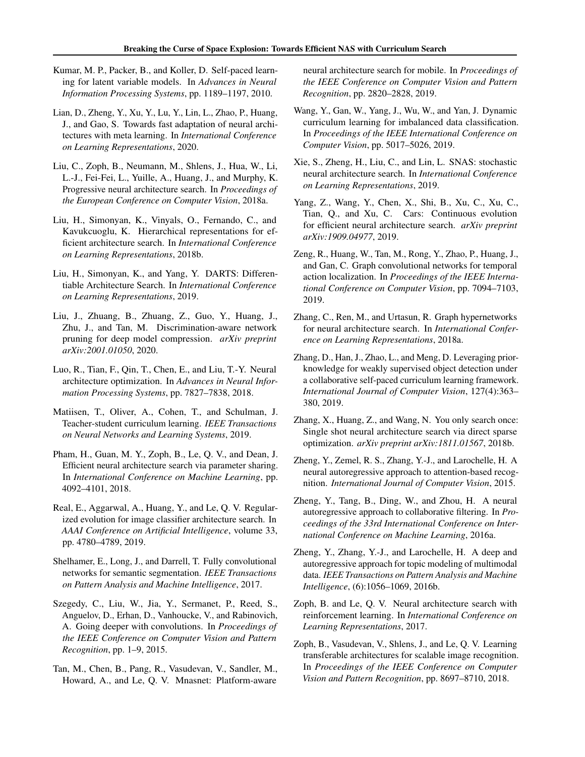- <span id="page-9-0"></span>Kumar, M. P., Packer, B., and Koller, D. Self-paced learning for latent variable models. In *Advances in Neural Information Processing Systems*, pp. 1189–1197, 2010.
- Lian, D., Zheng, Y., Xu, Y., Lu, Y., Lin, L., Zhao, P., Huang, J., and Gao, S. Towards fast adaptation of neural architectures with meta learning. In *International Conference on Learning Representations*, 2020.
- Liu, C., Zoph, B., Neumann, M., Shlens, J., Hua, W., Li, L.-J., Fei-Fei, L., Yuille, A., Huang, J., and Murphy, K. Progressive neural architecture search. In *Proceedings of the European Conference on Computer Vision*, 2018a.
- Liu, H., Simonyan, K., Vinyals, O., Fernando, C., and Kavukcuoglu, K. Hierarchical representations for efficient architecture search. In *International Conference on Learning Representations*, 2018b.
- Liu, H., Simonyan, K., and Yang, Y. DARTS: Differentiable Architecture Search. In *International Conference on Learning Representations*, 2019.
- Liu, J., Zhuang, B., Zhuang, Z., Guo, Y., Huang, J., Zhu, J., and Tan, M. Discrimination-aware network pruning for deep model compression. *arXiv preprint arXiv:2001.01050*, 2020.
- Luo, R., Tian, F., Qin, T., Chen, E., and Liu, T.-Y. Neural architecture optimization. In *Advances in Neural Information Processing Systems*, pp. 7827–7838, 2018.
- Matiisen, T., Oliver, A., Cohen, T., and Schulman, J. Teacher-student curriculum learning. *IEEE Transactions on Neural Networks and Learning Systems*, 2019.
- Pham, H., Guan, M. Y., Zoph, B., Le, Q. V., and Dean, J. Efficient neural architecture search via parameter sharing. In *International Conference on Machine Learning*, pp. 4092–4101, 2018.
- Real, E., Aggarwal, A., Huang, Y., and Le, Q. V. Regularized evolution for image classifier architecture search. In *AAAI Conference on Artificial Intelligence*, volume 33, pp. 4780–4789, 2019.
- Shelhamer, E., Long, J., and Darrell, T. Fully convolutional networks for semantic segmentation. *IEEE Transactions on Pattern Analysis and Machine Intelligence*, 2017.
- Szegedy, C., Liu, W., Jia, Y., Sermanet, P., Reed, S., Anguelov, D., Erhan, D., Vanhoucke, V., and Rabinovich, A. Going deeper with convolutions. In *Proceedings of the IEEE Conference on Computer Vision and Pattern Recognition*, pp. 1–9, 2015.
- Tan, M., Chen, B., Pang, R., Vasudevan, V., Sandler, M., Howard, A., and Le, Q. V. Mnasnet: Platform-aware

neural architecture search for mobile. In *Proceedings of the IEEE Conference on Computer Vision and Pattern Recognition*, pp. 2820–2828, 2019.

- Wang, Y., Gan, W., Yang, J., Wu, W., and Yan, J. Dynamic curriculum learning for imbalanced data classification. In *Proceedings of the IEEE International Conference on Computer Vision*, pp. 5017–5026, 2019.
- Xie, S., Zheng, H., Liu, C., and Lin, L. SNAS: stochastic neural architecture search. In *International Conference on Learning Representations*, 2019.
- Yang, Z., Wang, Y., Chen, X., Shi, B., Xu, C., Xu, C., Tian, Q., and Xu, C. Cars: Continuous evolution for efficient neural architecture search. *arXiv preprint arXiv:1909.04977*, 2019.
- Zeng, R., Huang, W., Tan, M., Rong, Y., Zhao, P., Huang, J., and Gan, C. Graph convolutional networks for temporal action localization. In *Proceedings of the IEEE International Conference on Computer Vision*, pp. 7094–7103, 2019.
- Zhang, C., Ren, M., and Urtasun, R. Graph hypernetworks for neural architecture search. In *International Conference on Learning Representations*, 2018a.
- Zhang, D., Han, J., Zhao, L., and Meng, D. Leveraging priorknowledge for weakly supervised object detection under a collaborative self-paced curriculum learning framework. *International Journal of Computer Vision*, 127(4):363– 380, 2019.
- Zhang, X., Huang, Z., and Wang, N. You only search once: Single shot neural architecture search via direct sparse optimization. *arXiv preprint arXiv:1811.01567*, 2018b.
- Zheng, Y., Zemel, R. S., Zhang, Y.-J., and Larochelle, H. A neural autoregressive approach to attention-based recognition. *International Journal of Computer Vision*, 2015.
- Zheng, Y., Tang, B., Ding, W., and Zhou, H. A neural autoregressive approach to collaborative filtering. In *Proceedings of the 33rd International Conference on International Conference on Machine Learning*, 2016a.
- Zheng, Y., Zhang, Y.-J., and Larochelle, H. A deep and autoregressive approach for topic modeling of multimodal data. *IEEE Transactions on Pattern Analysis and Machine Intelligence*, (6):1056–1069, 2016b.
- Zoph, B. and Le, Q. V. Neural architecture search with reinforcement learning. In *International Conference on Learning Representations*, 2017.
- Zoph, B., Vasudevan, V., Shlens, J., and Le, Q. V. Learning transferable architectures for scalable image recognition. In *Proceedings of the IEEE Conference on Computer Vision and Pattern Recognition*, pp. 8697–8710, 2018.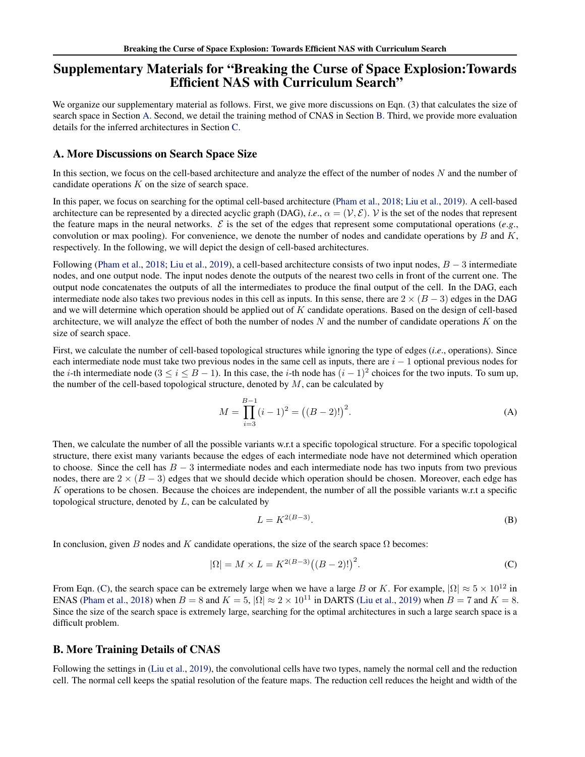# Supplementary Materials for "Breaking the Curse of Space Explosion:Towards Efficient NAS with Curriculum Search"

We organize our supplementary material as follows. First, we give more discussions on Eqn. (3) that calculates the size of search space in Section A. Second, we detail the training method of CNAS in Section B. Third, we provide more evaluation details for the inferred architectures in Section [C.](#page-11-0)

# A. More Discussions on Search Space Size

In this section, we focus on the cell-based architecture and analyze the effect of the number of nodes  $N$  and the number of candidate operations  $K$  on the size of search space.

In this paper, we focus on searching for the optimal cell-based architecture [\(Pham et al.,](#page-9-0) [2018;](#page-9-0) [Liu et al.,](#page-9-0) [2019\)](#page-9-0). A cell-based architecture can be represented by a directed acyclic graph (DAG), *i.e.*,  $\alpha = (\mathcal{V}, \mathcal{E})$ . V is the set of the nodes that represent the feature maps in the neural networks.  $\mathcal E$  is the set of the edges that represent some computational operations (*e.g.*, convolution or max pooling). For convenience, we denote the number of nodes and candidate operations by  $B$  and  $K$ , respectively. In the following, we will depict the design of cell-based architectures.

Following [\(Pham et al.,](#page-9-0) [2018;](#page-9-0) [Liu et al.,](#page-9-0) [2019\)](#page-9-0), a cell-based architecture consists of two input nodes,  $B - 3$  intermediate nodes, and one output node. The input nodes denote the outputs of the nearest two cells in front of the current one. The output node concatenates the outputs of all the intermediates to produce the final output of the cell. In the DAG, each intermediate node also takes two previous nodes in this cell as inputs. In this sense, there are  $2 \times (B-3)$  edges in the DAG and we will determine which operation should be applied out of K candidate operations. Based on the design of cell-based architecture, we will analyze the effect of both the number of nodes  $N$  and the number of candidate operations  $K$  on the size of search space.

First, we calculate the number of cell-based topological structures while ignoring the type of edges (*i*.*e*., operations). Since each intermediate node must take two previous nodes in the same cell as inputs, there are  $i - 1$  optional previous nodes for the *i*-th intermediate node  $(3 \le i \le B - 1)$ . In this case, the *i*-th node has  $(i - 1)^2$  choices for the two inputs. To sum up, the number of the cell-based topological structure, denoted by  $M$ , can be calculated by

$$
M = \prod_{i=3}^{B-1} (i-1)^2 = ((B-2)!)^2.
$$
 (A)

Then, we calculate the number of all the possible variants w.r.t a specific topological structure. For a specific topological structure, there exist many variants because the edges of each intermediate node have not determined which operation to choose. Since the cell has  $B - 3$  intermediate nodes and each intermediate node has two inputs from two previous nodes, there are  $2 \times (B - 3)$  edges that we should decide which operation should be chosen. Moreover, each edge has K operations to be chosen. Because the choices are independent, the number of all the possible variants w.r.t a specific topological structure, denoted by  $L$ , can be calculated by

$$
L = K^{2(B-3)}.\tag{B}
$$

In conclusion, given B nodes and K candidate operations, the size of the search space  $\Omega$  becomes:

$$
|\Omega| = M \times L = K^{2(B-3)}((B-2)!)^2.
$$
 (C)

From Eqn. (C), the search space can be extremely large when we have a large B or K. For example,  $|\Omega| \approx 5 \times 10^{12}$  in ENAS [\(Pham et al.,](#page-9-0) [2018\)](#page-9-0) when  $B = 8$  and  $K = 5$ ,  $|\Omega| \approx 2 \times 10^{11}$  in DARTS [\(Liu et al.,](#page-9-0) [2019\)](#page-9-0) when  $B = 7$  and  $K = 8$ . Since the size of the search space is extremely large, searching for the optimal architectures in such a large search space is a difficult problem.

# B. More Training Details of CNAS

Following the settings in [\(Liu et al.,](#page-9-0) [2019\)](#page-9-0), the convolutional cells have two types, namely the normal cell and the reduction cell. The normal cell keeps the spatial resolution of the feature maps. The reduction cell reduces the height and width of the